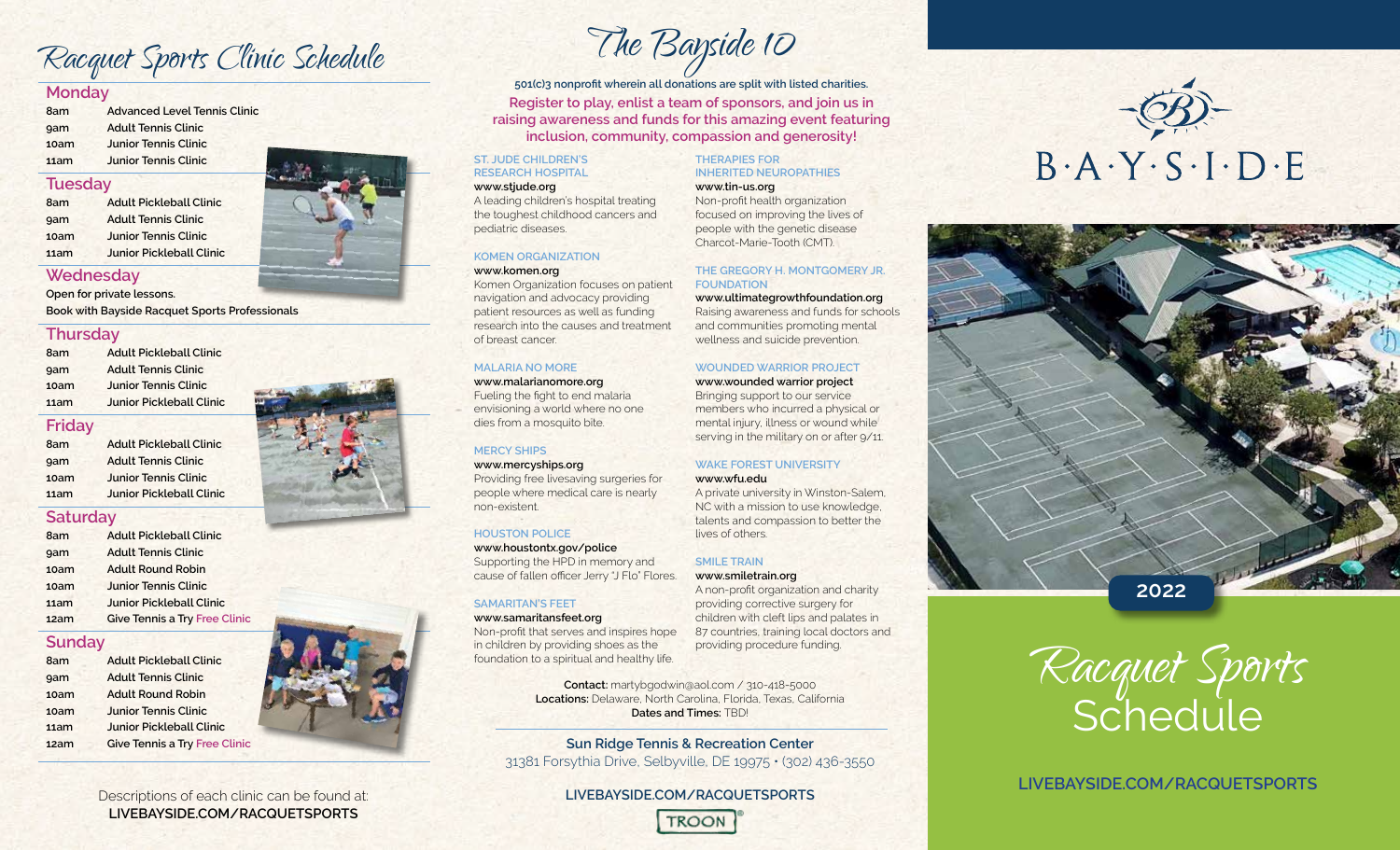Racquet Sports Clinic Schedule

## **Monday**

| 8am  | <b>Advanced Level Tennis Clinic</b> |  |  |
|------|-------------------------------------|--|--|
| gam  | <b>Adult Tennis Clinic</b>          |  |  |
| 10am | <b>Junior Tennis Clinic</b>         |  |  |
| 11am | <b>Junior Tennis Clinic</b>         |  |  |

## **Tuesday**

**8am Adult Pickleball Clinic 9am Adult Tennis Clinic 10am Junior Tennis Clinic 11am Junior Pickleball Clinic**

## **Wednesday**

**Open for private lessons.** 

**Book with Bayside Racquet Sports Professionals**

## **Thursday**

| 11am | <b>Junior Pickleball Clinic</b> |  |  |  |
|------|---------------------------------|--|--|--|
| 10am | <b>Junior Tennis Clinic</b>     |  |  |  |
| gam  | <b>Adult Tennis Clinic</b>      |  |  |  |
| 8am  | <b>Adult Pickleball Clinic</b>  |  |  |  |

#### **Friday**

**8am Adult Pickleball Clinic 9am Adult Tennis Clinic 10am Junior Tennis Clinic 11am Junior Pickleball Clinic**

## **Saturday**

| 8am  | <b>Adult Pickleball Clinic</b>       |  |
|------|--------------------------------------|--|
| gam  | <b>Adult Tennis Clinic</b>           |  |
| 10am | <b>Adult Round Robin</b>             |  |
| 10am | <b>Junior Tennis Clinic</b>          |  |
| 11am | <b>Junior Pickleball Clinic</b>      |  |
| 12am | <b>Give Tennis a Try Free Clinic</b> |  |

## **Sunday**

| 8am  | <b>Adult Pickleball Clinic</b>       |  |  |
|------|--------------------------------------|--|--|
| 9am  | <b>Adult Tennis Clinic</b>           |  |  |
| 10am | <b>Adult Round Robin</b>             |  |  |
| 10am | <b>Junior Tennis Clinic</b>          |  |  |
| 11am | <b>Junior Pickleball Clinic</b>      |  |  |
| 12am | <b>Give Tennis a Try Free Clinic</b> |  |  |



# The Bayside 10

**501(c)3 nonprofit wherein all donations are split with listed charities. Register to play, enlist a team of sponsors, and join us in raising awareness and funds for this amazing event featuring inclusion, community, compassion and generosity!**

#### **ST. JUDE CHILDREN'S RESEARCH HOSPITAL**

#### **www.stjude.org**

A leading children's hospital treating the toughest childhood cancers and pediatric diseases.

## **KOMEN ORGANIZATION**

#### **www.komen.org**

Komen Organization focuses on patient navigation and advocacy providing patient resources as well as funding research into the causes and treatment of breast cancer.

## **MALARIA NO MORE**

**www.malarianomore.org** Fueling the fight to end malaria envisioning a world where no one dies from a mosquito bite.

#### **MERCY SHIPS**

non-existent.

## **www.mercyships.org**

Providing free livesaving surgeries for people where medical care is nearly

#### **HOUSTON POLICE**

**www.houstontx.gov/police** Supporting the HPD in memory and cause of fallen officer Jerry "J Flo" Flores.

## **SAMARITAN'S FEET**

**www.samaritansfeet.org** Non-profit that serves and inspires hope in children by providing shoes as the foundation to a spiritual and healthy life.

> **Contact:** martybgodwin@aol.com / 310-418-5000 **Locations:** Delaware, North Carolina, Florida, Texas, California **Dates and Times: TBD!**

**Sun Ridge Tennis & Recreation Center** 31381 Forsythia Drive, Selbyville, DE 19975 • (302) 436-3550

> **LIVEBAYSIDE.COM/RACQUETSPORTS TROON**

#### **THERAPIES FOR INHERITED NEUROPATHIES**

#### **www.tin-us.org**

Non-profit health organization focused on improving the lives of people with the genetic disease Charcot-Marie-Tooth (CMT).

#### **THE GREGORY H. MONTGOMERY JR. FOUNDATION**

**www.ultimategrowthfoundation.org** Raising awareness and funds for schools and communities promoting mental wellness and suicide prevention.

## **WOUNDED WARRIOR PROJECT**

**www.wounded warrior project** Bringing support to our service members who incurred a physical or mental injury, illness or wound while serving in the military on or after 9/11.

#### **WAKE FOREST UNIVERSITY**

#### **www.wfu.edu**

A private university in Winston-Salem, NC with a mission to use knowledge, talents and compassion to better the lives of others.

## **SMILE TRAIN**

**www.smiletrain.org** A non-profit organization and charity providing corrective surgery for children with cleft lips and palates in 87 countries, training local doctors and providing procedure funding.

 $B \cdot A \cdot Y \cdot S \cdot I \cdot D \cdot E$ 



Racquet Sports **Schedule** 

**LIVEBAYSIDE.COM/RACQUETSPORTS**

Descriptions of each clinic can be found at: **LIVEBAYSIDE.COM/RACQUETSPORTS**